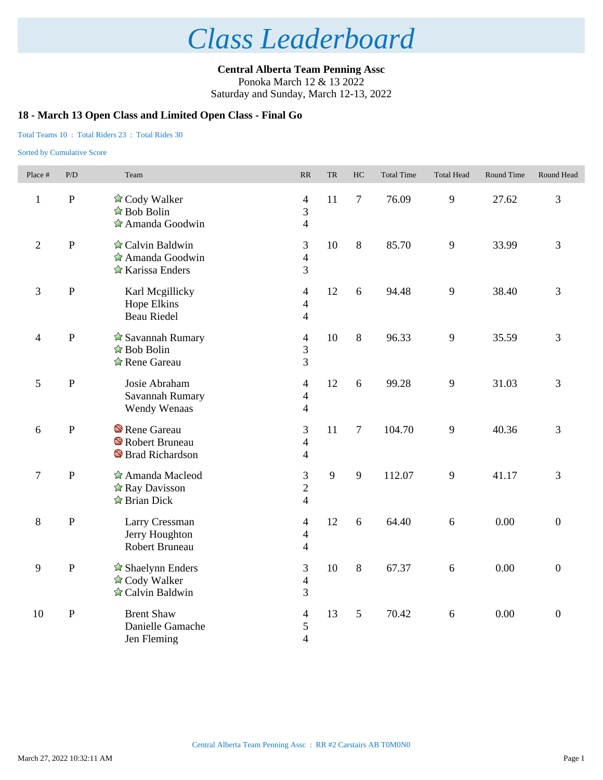**Central Alberta Team Penning Assc** Ponoka March 12 & 13 2022

## Saturday and Sunday, March 12-13, 2022

## **18 - March 13 Open Class and Limited Open Class - Final Go**

### Total Teams 10 : Total Riders 23 : Total Rides 30

| Place #        | P/D       | Team                                                                                | RR                                                 | <b>TR</b> | HC             | <b>Total Time</b> | <b>Total Head</b> | Round Time | Round Head       |
|----------------|-----------|-------------------------------------------------------------------------------------|----------------------------------------------------|-----------|----------------|-------------------|-------------------|------------|------------------|
| $\mathbf{1}$   | ${\bf P}$ | ☆ Cody Walker<br>☆ Bob Bolin<br>$\hat{\mathbb{Z}}$ Amanda Goodwin                   | $\overline{4}$<br>3<br>$\overline{4}$              | 11        | $\overline{7}$ | 76.09             | 9                 | 27.62      | 3                |
| $\overline{2}$ | ${\bf P}$ | $\triangle$ Calvin Baldwin<br>$\hat{\mathbb{Z}}$ Amanda Goodwin<br>☆ Karissa Enders | 3<br>$\overline{4}$<br>3                           | 10        | $\,8\,$        | 85.70             | 9                 | 33.99      | 3                |
| $\mathfrak{Z}$ | ${\bf P}$ | Karl Megillicky<br>Hope Elkins<br><b>Beau Riedel</b>                                | $\overline{4}$<br>$\overline{4}$<br>$\overline{4}$ | 12        | 6              | 94.48             | 9                 | 38.40      | 3                |
| $\overline{4}$ | ${\bf P}$ | $\hat{\mathbb{Z}}$ Savannah Rumary<br>$\hat{z}$ Bob Bolin<br>☆ Rene Gareau          | $\overline{4}$<br>3<br>3                           | 10        | 8              | 96.33             | 9                 | 35.59      | 3                |
| 5              | ${\bf P}$ | Josie Abraham<br>Savannah Rumary<br>Wendy Wenaas                                    | $\overline{4}$<br>$\overline{4}$<br>$\overline{4}$ | 12        | 6              | 99.28             | 9                 | 31.03      | 3                |
| 6              | ${\bf P}$ | Rene Gareau<br>Robert Bruneau<br><sup>S</sup> Brad Richardson                       | 3<br>$\overline{\mathcal{L}}$<br>4                 | 11        | $\overline{7}$ | 104.70            | 9                 | 40.36      | 3                |
| $\tau$         | ${\bf P}$ | Amanda Macleod<br>$\hat{\mathbb{Z}}$ Ray Davisson<br>$\triangle$ Brian Dick         | 3<br>$\overline{2}$<br>$\overline{4}$              | 9         | 9              | 112.07            | 9                 | 41.17      | 3                |
| $\,8\,$        | ${\bf P}$ | Larry Cressman<br>Jerry Houghton<br>Robert Bruneau                                  | 4<br>$\overline{4}$<br>$\overline{4}$              | 12        | 6              | 64.40             | 6                 | 0.00       | $\mathbf{0}$     |
| 9              | ${\bf P}$ | $\hat{\mathbb{Z}}$ Shaelynn Enders<br>☆ Cody Walker<br>☆ Calvin Baldwin             | 3<br>$\overline{4}$<br>3                           | 10        | 8              | 67.37             | 6                 | 0.00       | $\overline{0}$   |
| 10             | ${\bf P}$ | <b>Brent Shaw</b><br>Danielle Gamache<br>Jen Fleming                                | $\overline{\mathcal{L}}$<br>5<br>$\overline{4}$    | 13        | 5              | 70.42             | 6                 | 0.00       | $\boldsymbol{0}$ |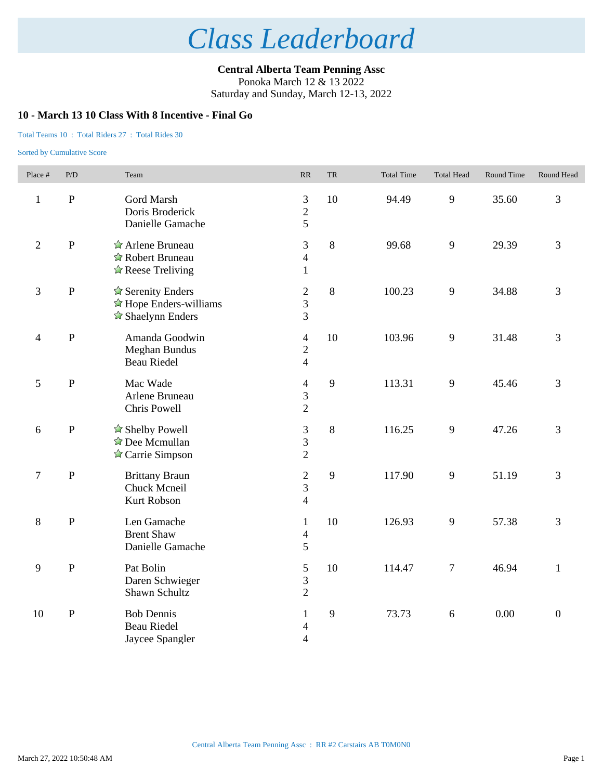**Central Alberta Team Penning Assc** Ponoka March 12 & 13 2022 Saturday and Sunday, March 12-13, 2022

## **10 - March 13 10 Class With 8 Incentive - Final Go**

#### Total Teams 10 : Total Riders 27 : Total Rides 30

| Place #        | P/D          | Team                                                                                                  | RR                                                 | <b>TR</b> | <b>Total Time</b> | <b>Total Head</b> | Round Time | Round Head       |
|----------------|--------------|-------------------------------------------------------------------------------------------------------|----------------------------------------------------|-----------|-------------------|-------------------|------------|------------------|
| $\mathbf{1}$   | $\, {\bf P}$ | Gord Marsh<br>Doris Broderick<br>Danielle Gamache                                                     | 3<br>$\overline{2}$<br>5                           | 10        | 94.49             | 9                 | 35.60      | 3                |
| $\overline{2}$ | $\mathbf{P}$ | Arlene Bruneau<br>Robert Bruneau<br>$\triangle$ Reese Treliving                                       | 3<br>$\overline{4}$<br>$\mathbf{1}$                | 8         | 99.68             | 9                 | 29.39      | 3                |
| $\mathfrak{Z}$ | ${\bf P}$    | $\triangle$ Serenity Enders<br>$\hat{\mathbb{Z}}$ Hope Enders-williams<br>$\triangle$ Shaelynn Enders | $\mathbf{2}$<br>3<br>3                             | $8\,$     | 100.23            | 9                 | 34.88      | 3                |
| $\overline{4}$ | ${\bf P}$    | Amanda Goodwin<br><b>Meghan Bundus</b><br><b>Beau Riedel</b>                                          | $\overline{4}$<br>$\overline{2}$<br>$\overline{4}$ | 10        | 103.96            | 9                 | 31.48      | 3                |
| $\mathfrak{S}$ | ${\bf P}$    | Mac Wade<br>Arlene Bruneau<br>Chris Powell                                                            | $\overline{\mathcal{A}}$<br>3<br>$\overline{c}$    | 9         | 113.31            | 9                 | 45.46      | 3                |
| 6              | ${\bf P}$    | ☆ Shelby Powell<br>$\triangle$ Dee Mcmullan<br>$\triangle$ Carrie Simpson                             | $\mathfrak{Z}$<br>3<br>$\mathbf{2}$                | 8         | 116.25            | 9                 | 47.26      | 3                |
| $\tau$         | ${\bf P}$    | <b>Brittany Braun</b><br>Chuck Mcneil<br>Kurt Robson                                                  | $\sqrt{2}$<br>3<br>$\overline{4}$                  | 9         | 117.90            | 9                 | 51.19      | 3                |
| $8\,$          | ${\bf P}$    | Len Gamache<br><b>Brent Shaw</b><br>Danielle Gamache                                                  | $\mathbf{1}$<br>$\overline{4}$<br>5                | 10        | 126.93            | 9                 | 57.38      | 3                |
| 9              | ${\bf P}$    | Pat Bolin<br>Daren Schwieger<br>Shawn Schultz                                                         | $\mathfrak{S}$<br>3<br>$\overline{2}$              | 10        | 114.47            | $\tau$            | 46.94      | $\mathbf{1}$     |
| 10             | ${\bf P}$    | <b>Bob Dennis</b><br><b>Beau Riedel</b><br>Jaycee Spangler                                            | $\mathbf{1}$<br>4<br>$\overline{4}$                | 9         | 73.73             | $\sqrt{6}$        | 0.00       | $\boldsymbol{0}$ |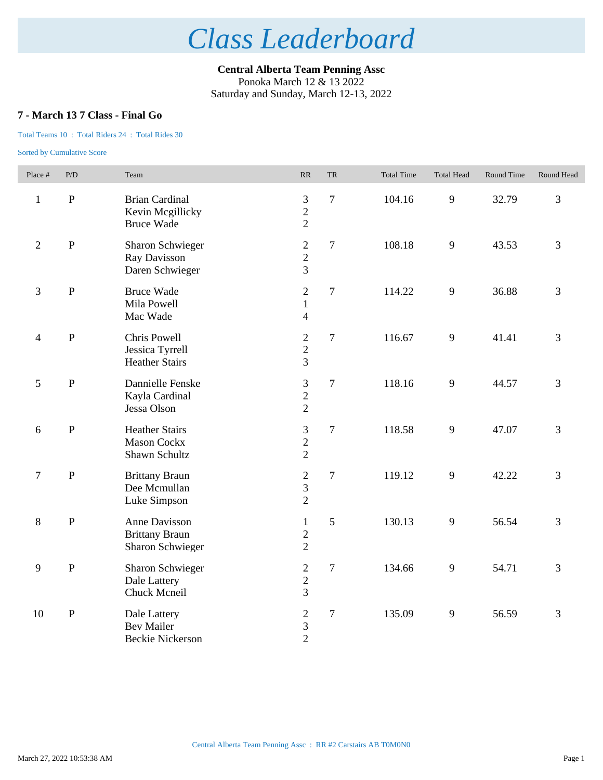**Central Alberta Team Penning Assc** Ponoka March 12 & 13 2022 Saturday and Sunday, March 12-13, 2022

## **7 - March 13 7 Class - Final Go**

### Total Teams 10 : Total Riders 24 : Total Rides 30

| Place #        | P/D         | Team                                                              | $\ensuremath{\mathsf{RR}}\xspace$                    | <b>TR</b>      | <b>Total Time</b> | <b>Total Head</b> | Round Time | Round Head |
|----------------|-------------|-------------------------------------------------------------------|------------------------------------------------------|----------------|-------------------|-------------------|------------|------------|
| $\mathbf{1}$   | ${\bf P}$   | <b>Brian Cardinal</b><br>Kevin Mcgillicky<br><b>Bruce Wade</b>    | 3<br>$\overline{2}$<br>$\overline{2}$                | $\overline{7}$ | 104.16            | 9                 | 32.79      | 3          |
| $\sqrt{2}$     | $\mathbf P$ | <b>Sharon Schwieger</b><br>Ray Davisson<br>Daren Schwieger        | $\boldsymbol{2}$<br>$\overline{2}$<br>$\overline{3}$ | $\overline{7}$ | 108.18            | $\mathbf{9}$      | 43.53      | 3          |
| $\mathfrak{Z}$ | ${\bf P}$   | <b>Bruce Wade</b><br>Mila Powell<br>Mac Wade                      | $\overline{2}$<br>$\mathbf{1}$<br>$\overline{4}$     | $\overline{7}$ | 114.22            | 9                 | 36.88      | 3          |
| $\overline{4}$ | $\mathbf P$ | Chris Powell<br>Jessica Tyrrell<br><b>Heather Stairs</b>          | $\sqrt{2}$<br>$\overline{2}$<br>3                    | $\overline{7}$ | 116.67            | 9                 | 41.41      | 3          |
| 5              | ${\bf P}$   | Dannielle Fenske<br>Kayla Cardinal<br>Jessa Olson                 | 3<br>$\overline{c}$<br>$\overline{2}$                | $\overline{7}$ | 118.16            | $\mathbf{9}$      | 44.57      | 3          |
| 6              | $\mathbf P$ | <b>Heather Stairs</b><br><b>Mason Cockx</b><br>Shawn Schultz      | 3<br>$\overline{2}$<br>$\overline{2}$                | $\overline{7}$ | 118.58            | 9                 | 47.07      | 3          |
| $\tau$         | ${\bf P}$   | <b>Brittany Braun</b><br>Dee Mcmullan<br>Luke Simpson             | $\overline{2}$<br>$\mathfrak{Z}$<br>$\overline{2}$   | $\overline{7}$ | 119.12            | $\overline{9}$    | 42.22      | 3          |
| $8\,$          | ${\bf P}$   | Anne Davisson<br><b>Brittany Braun</b><br><b>Sharon Schwieger</b> | $\mathbf{1}$<br>$\overline{2}$<br>$\overline{2}$     | 5              | 130.13            | 9                 | 56.54      | 3          |
| 9              | $\mathbf P$ | <b>Sharon Schwieger</b><br>Dale Lattery<br>Chuck Mcneil           | $\overline{c}$<br>$\overline{2}$<br>$\overline{3}$   | $\overline{7}$ | 134.66            | $\mathbf{9}$      | 54.71      | 3          |
| 10             | ${\bf P}$   | Dale Lattery<br><b>Bev Mailer</b><br><b>Beckie Nickerson</b>      | $\overline{c}$<br>$\frac{3}{2}$                      | $\overline{7}$ | 135.09            | 9                 | 56.59      | 3          |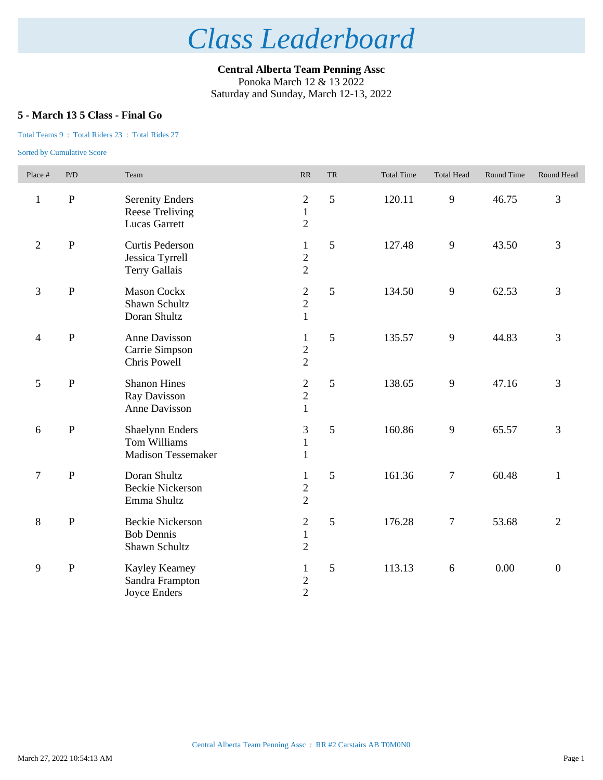**Central Alberta Team Penning Assc** Ponoka March 12 & 13 2022 Saturday and Sunday, March 12-13, 2022

## **5 - March 13 5 Class - Final Go**

### Total Teams 9 : Total Riders 23 : Total Rides 27

| Place #                  | P/D          | Team                                                                       | RR                                               | <b>TR</b> | <b>Total Time</b> | <b>Total Head</b> | Round Time | Round Head       |
|--------------------------|--------------|----------------------------------------------------------------------------|--------------------------------------------------|-----------|-------------------|-------------------|------------|------------------|
| $\mathbf{1}$             | $\, {\bf P}$ | <b>Serenity Enders</b><br>Reese Treliving<br><b>Lucas Garrett</b>          | $\overline{c}$<br>$\mathbf{1}$<br>$\overline{2}$ | 5         | 120.11            | $\mathbf{9}$      | 46.75      | 3                |
| $\overline{2}$           | $\, {\bf P}$ | Curtis Pederson<br>Jessica Tyrrell<br>Terry Gallais                        | $\mathbf{1}$<br>$\overline{c}$<br>$\overline{2}$ | 5         | 127.48            | $\mathbf{9}$      | 43.50      | 3                |
| 3                        | $\, {\bf P}$ | <b>Mason Cockx</b><br>Shawn Schultz<br>Doran Shultz                        | $\frac{2}{2}$<br>$\mathbf{1}$                    | 5         | 134.50            | 9                 | 62.53      | 3                |
| $\overline{\mathcal{A}}$ | $\, {\bf P}$ | Anne Davisson<br>Carrie Simpson<br>Chris Powell                            | $\mathbf{1}$<br>$\frac{2}{2}$                    | 5         | 135.57            | 9                 | 44.83      | 3                |
| $\sqrt{5}$               | $\, {\bf P}$ | <b>Shanon Hines</b><br>Ray Davisson<br>Anne Davisson                       | $\mathbf{2}$<br>$\overline{c}$<br>$\mathbf{1}$   | 5         | 138.65            | 9                 | 47.16      | 3                |
| 6                        | $\, {\bf P}$ | <b>Shaelynn Enders</b><br><b>Tom Williams</b><br><b>Madison Tessemaker</b> | $\mathfrak{Z}$<br>$\mathbf{1}$<br>$\mathbf{1}$   | 5         | 160.86            | 9                 | 65.57      | 3                |
| $\tau$                   | $\, {\bf P}$ | Doran Shultz<br><b>Beckie Nickerson</b><br>Emma Shultz                     | $\mathbf{1}$<br>$\overline{c}$<br>$\overline{2}$ | 5         | 161.36            | $\tau$            | 60.48      | $\mathbf{1}$     |
| $\,8\,$                  | $\, {\bf P}$ | <b>Beckie Nickerson</b><br><b>Bob Dennis</b><br>Shawn Schultz              | $\mathbf{2}$<br>$\mathbf{1}$<br>$\overline{2}$   | 5         | 176.28            | $\boldsymbol{7}$  | 53.68      | $\overline{2}$   |
| $\mathbf{9}$             | $\, {\bf P}$ | Kayley Kearney<br>Sandra Frampton<br>Joyce Enders                          | $\mathbf{1}$<br>$\frac{2}{2}$                    | 5         | 113.13            | 6                 | 0.00       | $\boldsymbol{0}$ |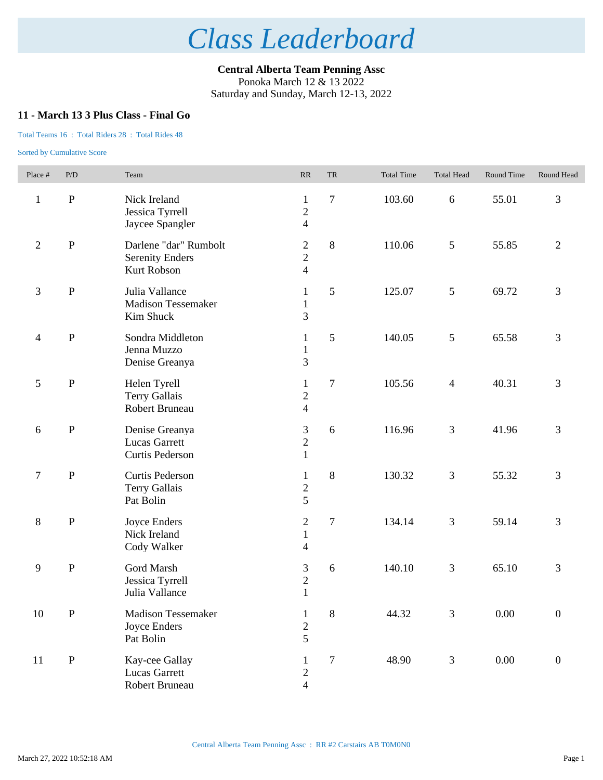**Central Alberta Team Penning Assc** Ponoka March 12 & 13 2022 Saturday and Sunday, March 12-13, 2022

## **11 - March 13 3 Plus Class - Final Go**

### Total Teams 16 : Total Riders 28 : Total Rides 48

| Place #        | P/D          | Team                                                           | $\ensuremath{\mathsf{RR}}\xspace$                    | TR             | <b>Total Time</b> | <b>Total Head</b> | Round Time | Round Head       |
|----------------|--------------|----------------------------------------------------------------|------------------------------------------------------|----------------|-------------------|-------------------|------------|------------------|
| $\mathbf{1}$   | ${\bf P}$    | Nick Ireland<br>Jessica Tyrrell<br>Jaycee Spangler             | $\mathbf{1}$<br>$\overline{c}$<br>$\overline{4}$     | $\tau$         | 103.60            | $6\,$             | 55.01      | 3                |
| $\overline{2}$ | $\, {\bf P}$ | Darlene "dar" Rumbolt<br><b>Serenity Enders</b><br>Kurt Robson | $\boldsymbol{2}$<br>$\overline{2}$<br>$\overline{4}$ | $\,8\,$        | 110.06            | 5                 | 55.85      | $\overline{2}$   |
| 3              | $\, {\bf P}$ | Julia Vallance<br><b>Madison Tessemaker</b><br>Kim Shuck       | $\mathbf{1}$<br>$\mathbf{1}$<br>$\overline{3}$       | 5              | 125.07            | $\mathfrak{S}$    | 69.72      | 3                |
| $\overline{4}$ | ${\bf P}$    | Sondra Middleton<br>Jenna Muzzo<br>Denise Greanya              | $\mathbf{1}$<br>$\,1$<br>3                           | 5              | 140.05            | $\mathfrak{S}$    | 65.58      | 3                |
| 5              | ${\bf P}$    | Helen Tyrell<br><b>Terry Gallais</b><br><b>Robert Bruneau</b>  | $\mathbf{1}$<br>$\overline{c}$<br>$\overline{4}$     | $\tau$         | 105.56            | $\overline{4}$    | 40.31      | 3                |
| $6\,$          | ${\bf P}$    | Denise Greanya<br><b>Lucas Garrett</b><br>Curtis Pederson      | 3<br>$\overline{c}$<br>$\mathbf{1}$                  | 6              | 116.96            | $\mathfrak{Z}$    | 41.96      | 3                |
| $\tau$         | $\, {\bf P}$ | Curtis Pederson<br><b>Terry Gallais</b><br>Pat Bolin           | $\mathbf{1}$<br>$rac{2}{5}$                          | $\,8\,$        | 130.32            | $\mathfrak{Z}$    | 55.32      | 3                |
| $8\,$          | ${\bf P}$    | Joyce Enders<br>Nick Ireland<br>Cody Walker                    | $\overline{c}$<br>$\mathbf{1}$<br>$\overline{4}$     | $\overline{7}$ | 134.14            | $\mathfrak{Z}$    | 59.14      | 3                |
| $\overline{9}$ | ${\bf P}$    | Gord Marsh<br>Jessica Tyrrell<br>Julia Vallance                | $\mathfrak{Z}$<br>$\sqrt{2}$<br>$\mathbf{1}$         | 6              | 140.10            | $\mathfrak{Z}$    | 65.10      | 3                |
| $10\,$         | ${\bf P}$    | Madison Tessemaker<br><b>Joyce Enders</b><br>Pat Bolin         | $\mathbf{1}$<br>$\overline{c}$<br>5                  | $\,8\,$        | 44.32             | 3                 | $0.00\,$   | $\boldsymbol{0}$ |
| 11             | ${\bf P}$    | Kay-cee Gallay<br>Lucas Garrett<br>Robert Bruneau              | 1<br>$\sqrt{2}$<br>$\overline{\mathbf{4}}$           | $\tau$         | 48.90             | $\mathfrak{Z}$    | $0.00\,$   | $\boldsymbol{0}$ |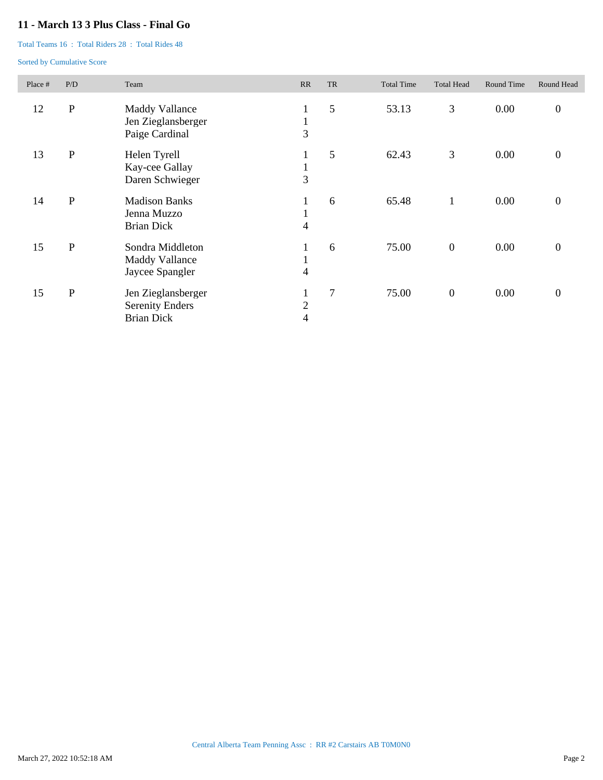## **11 - March 13 3 Plus Class - Final Go**

Total Teams 16 : Total Riders 28 : Total Rides 48

| Place # | P/D       | Team                                                              | RR                                | <b>TR</b> | <b>Total Time</b> | <b>Total Head</b> | Round Time | Round Head       |
|---------|-----------|-------------------------------------------------------------------|-----------------------------------|-----------|-------------------|-------------------|------------|------------------|
| 12      | ${\bf P}$ | Maddy Vallance<br>Jen Zieglansberger<br>Paige Cardinal            | $\mathbf{I}$<br>$\mathbf{I}$<br>3 | 5         | 53.13             | 3                 | 0.00       | $\boldsymbol{0}$ |
| 13      | ${\bf P}$ | Helen Tyrell<br>Kay-cee Gallay<br>Daren Schwieger                 | 1<br>$\mathbf{I}$<br>3            | 5         | 62.43             | 3                 | 0.00       | $\boldsymbol{0}$ |
| 14      | ${\bf P}$ | <b>Madison Banks</b><br>Jenna Muzzo<br><b>Brian Dick</b>          | $\mathbf{I}$<br>Τ.<br>4           | 6         | 65.48             | 1                 | 0.00       | $\boldsymbol{0}$ |
| 15      | ${\bf P}$ | Sondra Middleton<br><b>Maddy Vallance</b><br>Jaycee Spangler      | Τ.<br>4                           | 6         | 75.00             | $\boldsymbol{0}$  | 0.00       | $\boldsymbol{0}$ |
| 15      | ${\bf P}$ | Jen Zieglansberger<br><b>Serenity Enders</b><br><b>Brian Dick</b> | Τ.<br>$\overline{c}$<br>4         | 7         | 75.00             | $\boldsymbol{0}$  | 0.00       | $\boldsymbol{0}$ |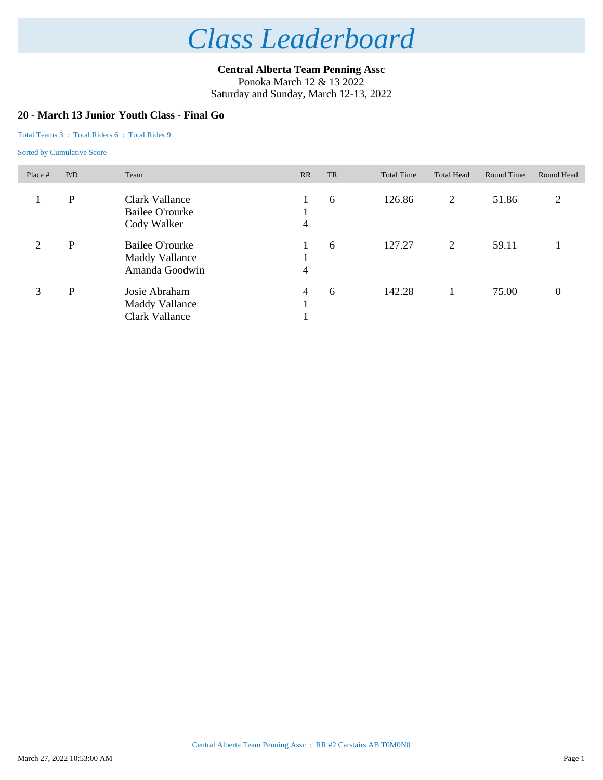**Central Alberta Team Penning Assc** Ponoka March 12 & 13 2022

Saturday and Sunday, March 12-13, 2022

## **20 - March 13 Junior Youth Class - Final Go**

### Total Teams 3 : Total Riders 6 : Total Rides 9

| Place #        | P/D | Team                                                       | <b>RR</b>      | <b>TR</b> | <b>Total Time</b> | <b>Total Head</b> | Round Time | Round Head       |
|----------------|-----|------------------------------------------------------------|----------------|-----------|-------------------|-------------------|------------|------------------|
|                | P   | Clark Vallance<br>Bailee O'rourke<br>Cody Walker           | 4              | 6         | 126.86            | 2                 | 51.86      | 2                |
| $\overline{2}$ | P   | Bailee O'rourke<br><b>Maddy Vallance</b><br>Amanda Goodwin | 4              | 6         | 127.27            | 2                 | 59.11      |                  |
| 3              | P   | Josie Abraham<br>Maddy Vallance<br>Clark Vallance          | $\overline{4}$ | 6         | 142.28            |                   | 75.00      | $\boldsymbol{0}$ |